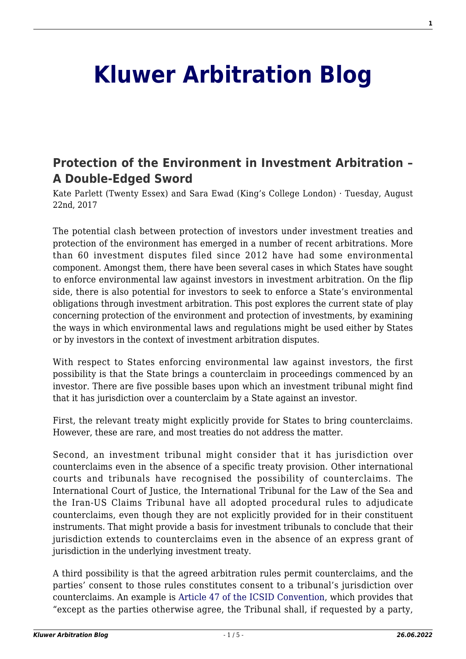## **[Kluwer Arbitration Blog](http://arbitrationblog.kluwerarbitration.com/)**

## **[Protection of the Environment in Investment Arbitration –](http://arbitrationblog.kluwerarbitration.com/2017/08/22/protection-environment-investment-arbitration-double-edged-sword/) [A Double-Edged Sword](http://arbitrationblog.kluwerarbitration.com/2017/08/22/protection-environment-investment-arbitration-double-edged-sword/)**

Kate Parlett (Twenty Essex) and Sara Ewad (King's College London) · Tuesday, August 22nd, 2017

The potential clash between protection of investors under investment treaties and protection of the environment has emerged in a number of recent arbitrations. More than 60 investment disputes filed since 2012 have had some environmental component. Amongst them, there have been several cases in which States have sought to enforce environmental law against investors in investment arbitration. On the flip side, there is also potential for investors to seek to enforce a State's environmental obligations through investment arbitration. This post explores the current state of play concerning protection of the environment and protection of investments, by examining the ways in which environmental laws and regulations might be used either by States or by investors in the context of investment arbitration disputes.

With respect to States enforcing environmental law against investors, the first possibility is that the State brings a counterclaim in proceedings commenced by an investor. There are five possible bases upon which an investment tribunal might find that it has jurisdiction over a counterclaim by a State against an investor.

First, the relevant treaty might explicitly provide for States to bring counterclaims. However, these are rare, and most treaties do not address the matter.

Second, an investment tribunal might consider that it has jurisdiction over counterclaims even in the absence of a specific treaty provision. Other international courts and tribunals have recognised the possibility of counterclaims. The International Court of Justice, the International Tribunal for the Law of the Sea and the Iran-US Claims Tribunal have all adopted procedural rules to adjudicate counterclaims, even though they are not explicitly provided for in their constituent instruments. That might provide a basis for investment tribunals to conclude that their jurisdiction extends to counterclaims even in the absence of an express grant of jurisdiction in the underlying investment treaty.

A third possibility is that the agreed arbitration rules permit counterclaims, and the parties' consent to those rules constitutes consent to a tribunal's jurisdiction over counterclaims. An example is [Article 47 of the ICSID Convention,](http://icsidfiles.worldbank.org/icsid/icsid/staticfiles/basicdoc/parta-chap04.htm) which provides that "except as the parties otherwise agree, the Tribunal shall, if requested by a party,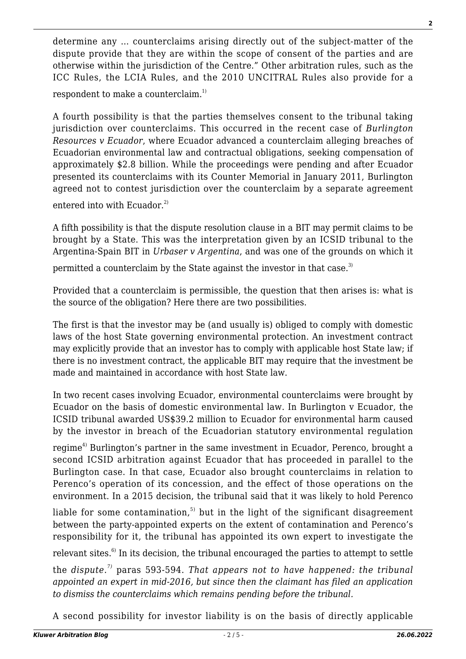determine any … counterclaims arising directly out of the subject-matter of the dispute provide that they are within the scope of consent of the parties and are otherwise within the jurisdiction of the Centre." Other arbitration rules, such as the ICC Rules, the LCIA Rules, and the 2010 UNCITRAL Rules also provide for a respondent to make a counterclaim.<sup>1)</sup>

A fourth possibility is that the parties themselves consent to the tribunal taking jurisdiction over counterclaims. This occurred in the recent case of *Burlington Resources v Ecuador*, where Ecuador advanced a counterclaim alleging breaches of Ecuadorian environmental law and contractual obligations, seeking compensation of approximately \$2.8 billion. While the proceedings were pending and after Ecuador presented its counterclaims with its Counter Memorial in January 2011, Burlington agreed not to contest jurisdiction over the counterclaim by a separate agreement

entered into with Ecuador. $^{2)}$ 

A fifth possibility is that the dispute resolution clause in a BIT may permit claims to be brought by a State. This was the interpretation given by an ICSID tribunal to the Argentina-Spain BIT in *Urbaser v Argentina*, and was one of the grounds on which it

permitted a counterclaim by the State against the investor in that case.<sup>3)</sup>

Provided that a counterclaim is permissible, the question that then arises is: what is the source of the obligation? Here there are two possibilities.

The first is that the investor may be (and usually is) obliged to comply with domestic laws of the host State governing environmental protection. An investment contract may explicitly provide that an investor has to comply with applicable host State law; if there is no investment contract, the applicable BIT may require that the investment be made and maintained in accordance with host State law.

In two recent cases involving Ecuador, environmental counterclaims were brought by Ecuador on the basis of domestic environmental law. In Burlington v Ecuador, the ICSID tribunal awarded US\$39.2 million to Ecuador for environmental harm caused by the investor in breach of the Ecuadorian statutory environmental regulation

regime<sup>4)</sup> Burlington's partner in the same investment in Ecuador, Perenco, brought a second ICSID arbitration against Ecuador that has proceeded in parallel to the Burlington case. In that case, Ecuador also brought counterclaims in relation to Perenco's operation of its concession, and the effect of those operations on the environment. In a 2015 decision, the tribunal said that it was likely to hold Perenco

liable for some contamination, $5$  but in the light of the significant disagreement between the party-appointed experts on the extent of contamination and Perenco's responsibility for it, the tribunal has appointed its own expert to investigate the

relevant sites. $6$  In its decision, the tribunal encouraged the parties to attempt to settle

the *dispute.7)* paras 593-594. *That appears not to have happened: the tribunal appointed an expert in mid-2016, but since then the claimant has filed an application to dismiss the counterclaims which remains pending before the tribunal.*

A second possibility for investor liability is on the basis of directly applicable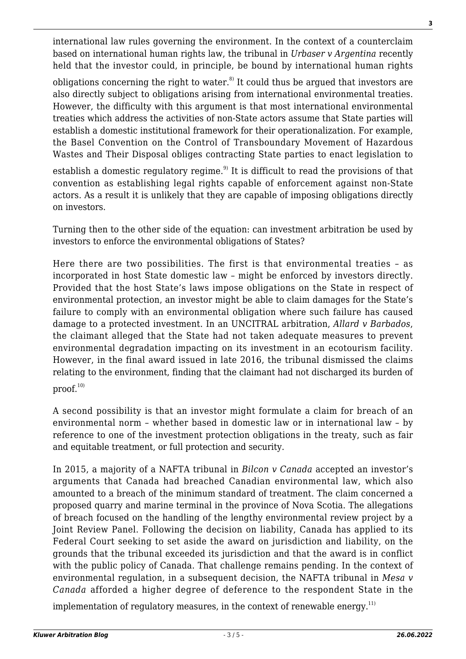international law rules governing the environment. In the context of a counterclaim based on international human rights law, the tribunal in *Urbaser v Argentina* recently held that the investor could, in principle, be bound by international human rights

obligations concerning the right to water.<sup>8)</sup> It could thus be argued that investors are also directly subject to obligations arising from international environmental treaties. However, the difficulty with this argument is that most international environmental treaties which address the activities of non-State actors assume that State parties will establish a domestic institutional framework for their operationalization. For example, the Basel Convention on the Control of Transboundary Movement of Hazardous Wastes and Their Disposal obliges contracting State parties to enact legislation to

establish a domestic regulatory regime.<sup>9)</sup> It is difficult to read the provisions of that convention as establishing legal rights capable of enforcement against non-State actors. As a result it is unlikely that they are capable of imposing obligations directly on investors.

Turning then to the other side of the equation: can investment arbitration be used by investors to enforce the environmental obligations of States?

Here there are two possibilities. The first is that environmental treaties – as incorporated in host State domestic law – might be enforced by investors directly. Provided that the host State's laws impose obligations on the State in respect of environmental protection, an investor might be able to claim damages for the State's failure to comply with an environmental obligation where such failure has caused damage to a protected investment. In an UNCITRAL arbitration, *Allard v Barbados*, the claimant alleged that the State had not taken adequate measures to prevent environmental degradation impacting on its investment in an ecotourism facility. However, in the final award issued in late 2016, the tribunal dismissed the claims relating to the environment, finding that the claimant had not discharged its burden of  $proof.<sup>10</sup>$ 

A second possibility is that an investor might formulate a claim for breach of an environmental norm – whether based in domestic law or in international law – by reference to one of the investment protection obligations in the treaty, such as fair and equitable treatment, or full protection and security.

In 2015, a majority of a NAFTA tribunal in *Bilcon v Canada* accepted an investor's arguments that Canada had breached Canadian environmental law, which also amounted to a breach of the minimum standard of treatment. The claim concerned a proposed quarry and marine terminal in the province of Nova Scotia. The allegations of breach focused on the handling of the lengthy environmental review project by a Joint Review Panel. Following the decision on liability, Canada has applied to its Federal Court seeking to set aside the award on jurisdiction and liability, on the grounds that the tribunal exceeded its jurisdiction and that the award is in conflict with the public policy of Canada. That challenge remains pending. In the context of environmental regulation, in a subsequent decision, the NAFTA tribunal in *Mesa v Canada* afforded a higher degree of deference to the respondent State in the

implementation of regulatory measures, in the context of renewable energy. $11$ )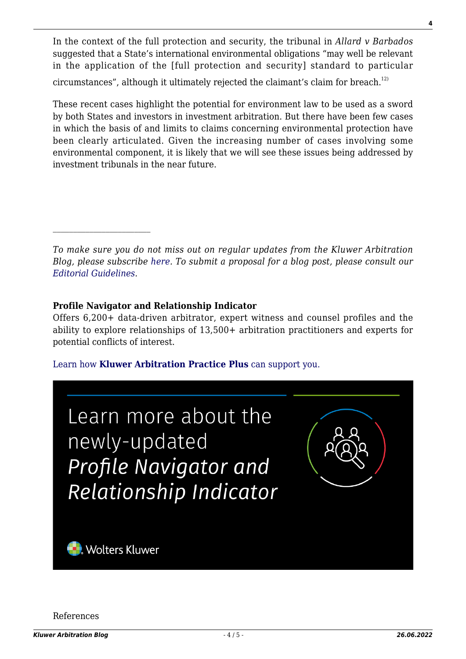In the context of the full protection and security, the tribunal in *Allard v Barbados* suggested that a State's international environmental obligations "may well be relevant in the application of the [full protection and security] standard to particular

circumstances", although it ultimately rejected the claimant's claim for breach. $^{12}$ 

These recent cases highlight the potential for environment law to be used as a sword by both States and investors in investment arbitration. But there have been few cases in which the basis of and limits to claims concerning environmental protection have been clearly articulated. Given the increasing number of cases involving some environmental component, it is likely that we will see these issues being addressed by investment tribunals in the near future.

*To make sure you do not miss out on regular updates from the Kluwer Arbitration Blog, please subscribe [here](http://arbitrationblog.kluwerarbitration.com/newsletter/). To submit a proposal for a blog post, please consult our [Editorial Guidelines.](http://arbitrationblog.kluwerarbitration.com/editorial-guidelines/)*

## **Profile Navigator and Relationship Indicator**

Offers 6,200+ data-driven arbitrator, expert witness and counsel profiles and the ability to explore relationships of 13,500+ arbitration practitioners and experts for potential conflicts of interest.

[Learn how](https://www.wolterskluwer.com/en/solutions/kluwerarbitration/practiceplus?utm_source=arbitrationblog&utm_medium=articleCTA&utm_campaign=article-banner) **[Kluwer Arbitration Practice Plus](https://www.wolterskluwer.com/en/solutions/kluwerarbitration/practiceplus?utm_source=arbitrationblog&utm_medium=articleCTA&utm_campaign=article-banner)** [can support you.](https://www.wolterskluwer.com/en/solutions/kluwerarbitration/practiceplus?utm_source=arbitrationblog&utm_medium=articleCTA&utm_campaign=article-banner)